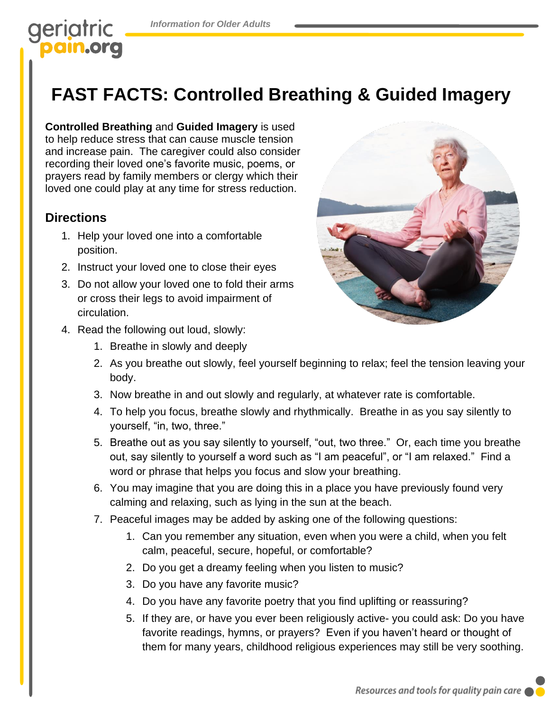# geriatric am.org

# **FAST FACTS: Controlled Breathing & Guided Imagery**

**Controlled Breathing** and **Guided Imagery** is used to help reduce stress that can cause muscle tension and increase pain. The caregiver could also consider recording their loved one's favorite music, poems, or prayers read by family members or clergy which their loved one could play at any time for stress reduction.

## **Directions**

- 1. Help your loved one into a comfortable position.
- 2. Instruct your loved one to close their eyes
- 3. Do not allow your loved one to fold their arms or cross their legs to avoid impairment of circulation.



- 4. Read the following out loud, slowly:
	- 1. Breathe in slowly and deeply
	- 2. As you breathe out slowly, feel yourself beginning to relax; feel the tension leaving your body.
	- 3. Now breathe in and out slowly and regularly, at whatever rate is comfortable.
	- 4. To help you focus, breathe slowly and rhythmically. Breathe in as you say silently to yourself, "in, two, three."
	- 5. Breathe out as you say silently to yourself, "out, two three." Or, each time you breathe out, say silently to yourself a word such as "I am peaceful", or "I am relaxed." Find a word or phrase that helps you focus and slow your breathing.
	- 6. You may imagine that you are doing this in a place you have previously found very calming and relaxing, such as lying in the sun at the beach.
	- 7. Peaceful images may be added by asking one of the following questions:
		- 1. Can you remember any situation, even when you were a child, when you felt calm, peaceful, secure, hopeful, or comfortable?
		- 2. Do you get a dreamy feeling when you listen to music?
		- 3. Do you have any favorite music?
		- 4. Do you have any favorite poetry that you find uplifting or reassuring?
		- 5. If they are, or have you ever been religiously active- you could ask: Do you have favorite readings, hymns, or prayers? Even if you haven't heard or thought of them for many years, childhood religious experiences may still be very soothing.